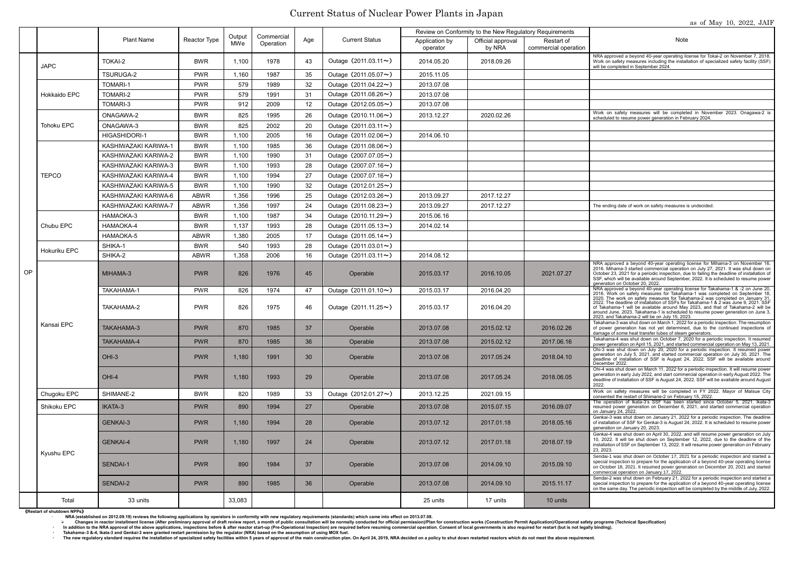## Current Status of Nuclear Power Plants in Japan

NRA approved a beyond 40-year operating license for Tokai-2 on November 7, 2018. Work on safety measures including the installation of specialized safety facility (SSF) will be completed in September 2024.

scheduled to resume power generation in February 2024.

A approved a beyond 40-year operating license for Mihama-3 on November 2016. Mihama-3 started commercial operation on July 27, 2021. It was shut down on October 23, 2021 for a periodic inspection, due to failing the deadline of installation of SSF, which will be available around September, 2022. It is scheduled to resume power generation on October 20, 2022.

damage of some heat transfer tubes of steam generators.<br>Takahama-4 was shut down on October 7. 2020 for a periodic inspection. It resumed Ohi-3 was shut down on July 20, 2020 for a periodic inspection. It resumed power generation on July 5, 2021, and started commercial operation on July 30, 2021. The deadline of installation of SSF is August 24, 2022. SSF will be available around December 2022.

Ohi-4 was shut down on March 11, 2022 for a periodic inspection. It will resume power generation in early July 2022, and start commercial operation in early August 2022. The deadline of installation of SSF is August 24, 2022. SSF will be available around August

The operation of Ikata-3's SSF has been started since October 5, 2021. Ikata-3 resumed power generation on December 6, 2021, and started commercial operation on January 24, 2022.

2022. The deadline of installation of SSFs for Takahama-1 & 2 was June 9, 2021. SSF of Takahama-1 will be available around May 2023, and that of Takahama-2 will be around June, 2023. Takahama-1 is scheduled to resume power generation on June 3, 2023, and Takahama-2 will be on July 15, 2023.

## Plant Name Reactor Type Output MWe **Commercial** Operation Age Current Status Review on Conformity to the New Regulatory Requirements Application by | Official approval | Restart of | Note operator by NRA Restart of commercial operation OP JAPC TOKAI-2 **BWR** 1,100 1978 43 Outage (2011.03.11~) 2014.05.20 2018.09.26 TSURUGA-2 **PWR** 1,160 1987 35 Outage (2011.05.07~) 2015.11.05 Hokkaido EPC TOMARI-1 PWR 579 1989 32 Outage(2011.04.22~) 2013.07.08 TOMARI-2 **PWR** 579 1991 31 Outage (2011.08.26~) 2013.07.08 TOMARI-3 PWR 912 2009 12 Outage(2012.05.05~) 2013.07.08 Tohoku EPC  $\overline{ONAGAWA-2}$  BWR 825 1995 26 Outage (2010.11.06~) 2013.12.27 2020.02.26 Work on safety measures will be completed in November 2023. Onagawa-2 is  $ONAGAWA-3$  BWR  $| 825 | 2002 | 20$  Outage (2011.03.11~) HIGASHIDORI-1 BWR 1,100 2005 16 Outage(2011.02.06~) 2014.06.10 **TEPCO** KASHIWAZAKI KARIWA-1 | BWR | 1.100 | 1985 | 36 | Outage (2011.08.06~) KASHIWAZAKI KARIWA-2 | BWR | 1,100 | 1990 | 31 | Outage (2007.07.05~) KASHIWAZAKI KARIWA-3 | BWR | 1,100 | 1993 | 28 | Outage (2007.07.16~) KASHIWAZAKI KARIWA-4 | BWR | 1,100 | 1994 | 27 | Outage (2007.07.16~) KASHIWAZAKI KARIWA-5 | BWR | 1,100 | 1990 | 32 | Outage (2012.01.25~) KASHIWAZAKI KARIWA-6 | ABWR | 1.356 | 1996 | 25 | Outage (2012.03.26~) | 2013.09.27 | 2017.12.27 KASHIWAZAKI KARIWA-7 ABWR 1,356 1997 24 Outage (2011.08.23~) 2013.09.27 2017.12.27 The ending date of work on safety measures is undecided. Chubu EPC HAMAOKA-3 **BWR** 1,100 1987 34 Outage (2010.11.29~) 2015.06.16 HAMAOKA-4 **BWR** 1.137 1993 28 Outage (2011.05.13~) 2014.02.14 HAMAOKA-5 **1** ABWR 1.380 2005 17 Outage (2011.05.14~) Hokuriku EPC SHIKA-1 **BWR** 540 1993 28 Outage (2011.03.01~) SHIKA-2 **ABWR** 1,358 2006 16 Outage (2011.03.11~) 2014.08.12 Kansai EPC MIHAMA-3 PWR | 826 | 1976 | Operable 2015.03.17 2016.10.05 | 2021.07.27  $\texttt{TAKAHAMA-1}\texttt{PWR} \texttt{PWR} \texttt{B26} \texttt{1974} \texttt{1974} \texttt{Outage} \texttt{(2011.01.10~)}\texttt{Outage} \texttt{(2011.01.10~)}\texttt{2015.03.17} \texttt{2016.04.20} \texttt{2016.04.20} \texttt{2016.04.20} \texttt{2018.04.20} \texttt{2018.04.20} \texttt{2019.04.20} \texttt{2019.04.20} \text$ TAKAHAMA-2 PWR 826 1975 46 Outage(2011.11.25~) 2015.03.17 2016.04.20 TAKAHAMA-3 PWR | 870 | 1985 | Operable | 2013.07.08 | 2015.02.12 | 2016.02.26 TAKAHAMA-4 PWR 1985 870 1985 36 Operable 2013.07.08 2015.02.12 2017.06.16 Takahama-4 was shut down on October 7, 2020 for a periodic inspection. It resumed Down generation on April 15, 2021, and started commercial operatio OHI-3 | PWR | 1,180 | 1991 | 30 | Operable | 2013.07.08 | 2017.05.24 | 2018.04.10 OHI-4 PWR | 1,180 | 1993 | 29 | Operable | 2013.07.08 | 2017.05.24 | 2018.06.05 2022. Chugoku EPC SHIMANE-2 BWR 820 1989 33 Outage (2012.01.27~) 2013.12.25 2021.09.15 Work on safety measures will be completed in FY 2022. Mayor of Matsue City Shikoku EPC | IKATA-3 PWR | 890 | 1994 | 27 | Operable | 2013.07.08 | 2015.07.15 | 2016.09.07 Kyushu EPC GENKAI-3 PWR | 1,180 | 1994 | 28 | Operable | 2013.07.12 | 2017.01.18 | 2018.05.16 GENKAI-4 PWR 1,180 1997 24 Operable 2013.07.12 2017.01.18 2018.07.19 SENDAI-1 PWR 890 1984 37 Operable 2013.07.08 2014.09.10 2015.09.10 SENDAI-2 PWR | 890 | 1985 | 36 | Operable | 2013.07.08 | 2014.09.10 | 2015.11.17 Total 33 units 33,083 25 units 17 units 10 units

Takahama-3 was shut down on March 1, 2022 for a periodic inspection. The resumption of power generation has not yet determined, due to the continued inspections of

consented the restart of Shimane-2 on February 15, 2022.

Genkai-3 was shut down on January 21, 2022 for a periodic inspection. The deadline of installation of SSF for Genkai-3 is August 24, 2022. It is scheduled to resume power generation on January 20, 2023.

Genkai-4 was shut down on April 30, 2022, and will resume power generation on July 10, 2022. It will be shut down on September 12, 2022, due to the deadline of the installation of SSF on September 13, 2022. It will resume power generation on February 23, 2023.

Sendai-1 was shut down on October 17, 2021 for a periodic inspection and started a special inspection to prepare for the application of a beyond 40-year operating license on October 18, 2021. It resumed power generation on December 20, 2021 and started commercial operation on January 17, 2022.

Sendai-2 was shut down on February 21, 2022 for a periodic inspection and started a special inspection to prepare for the application of a beyond 40-year operating license on the same day. The periodic inspection will be completed by the middle of July, 2022.

《**Restart of shutdown NPPs**》

**NRA (established on 2012.09.19) reviews the following applications by operators in conformity with new regulatory requirements (standards) which came into effect on 2013.07.08.** 

Changes in reactor installment license (After preliminary approval of draft review report, a month of public consultation will be normally conducted for official permission)/Plan for construction works (Construction Permit In addition to the NRA approval of the above applications, inspections before & after reactor start-up (Pre-Operational Inspection) are required before resuming commercial operation. Consent of local governments is also re

・ **Takahama–3 &-4, Ikata-3 and Genkai-3 were granted restart permission by the regulator (NRA) based on the assumption of using MOX fuel.** 

The new regulatory standard requires the installation of specialized safety facilities within 5 years of approval of the main construction plan. On April 24, 2019, NRA decided on a policy to shut down restarted reactors wh